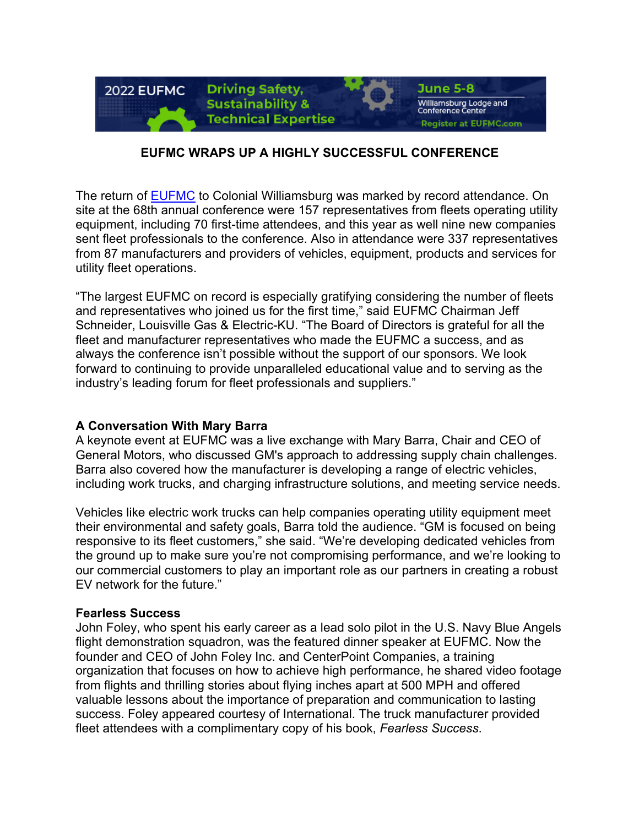

## **EUFMC WRAPS UP A HIGHLY SUCCESSFUL CONFERENCE**

The return of EUFMC to Colonial Williamsburg was marked by record attendance. On site at the 68th annual conference were 157 representatives from fleets operating utility equipment, including 70 first-time attendees, and this year as well nine new companies sent fleet professionals to the conference. Also in attendance were 337 representatives from 87 manufacturers and providers of vehicles, equipment, products and services for utility fleet operations.

"The largest EUFMC on record is especially gratifying considering the number of fleets and representatives who joined us for the first time," said EUFMC Chairman Jeff Schneider, Louisville Gas & Electric-KU. "The Board of Directors is grateful for all the fleet and manufacturer representatives who made the EUFMC a success, and as always the conference isn't possible without the support of our sponsors. We look forward to continuing to provide unparalleled educational value and to serving as the industry's leading forum for fleet professionals and suppliers."

### **A Conversation With Mary Barra**

A keynote event at EUFMC was a live exchange with Mary Barra, Chair and CEO of General Motors, who discussed GM's approach to addressing supply chain challenges. Barra also covered how the manufacturer is developing a range of electric vehicles, including work trucks, and charging infrastructure solutions, and meeting service needs.

Vehicles like electric work trucks can help companies operating utility equipment meet their environmental and safety goals, Barra told the audience. "GM is focused on being responsive to its fleet customers," she said. "We're developing dedicated vehicles from the ground up to make sure you're not compromising performance, and we're looking to our commercial customers to play an important role as our partners in creating a robust EV network for the future."

#### **Fearless Success**

John Foley, who spent his early career as a lead solo pilot in the U.S. Navy Blue Angels flight demonstration squadron, was the featured dinner speaker at EUFMC. Now the founder and CEO of John Foley Inc. and CenterPoint Companies, a training organization that focuses on how to achieve high performance, he shared video footage from flights and thrilling stories about flying inches apart at 500 MPH and offered valuable lessons about the importance of preparation and communication to lasting success. Foley appeared courtesy of International. The truck manufacturer provided fleet attendees with a complimentary copy of his book, *Fearless Success*.